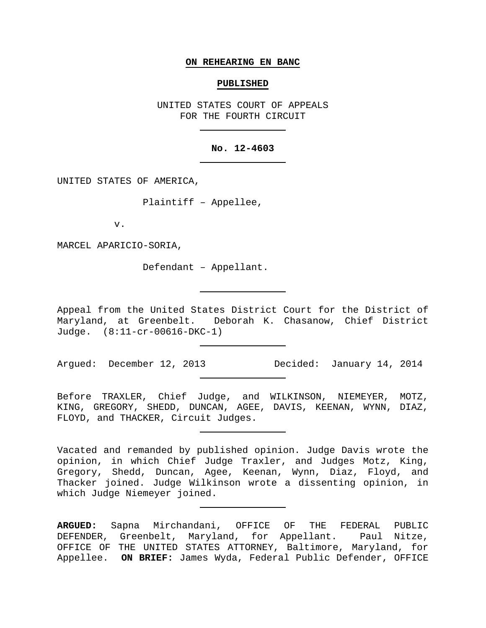#### **ON REHEARING EN BANC**

## **PUBLISHED**

UNITED STATES COURT OF APPEALS FOR THE FOURTH CIRCUIT

## **No. 12-4603**

UNITED STATES OF AMERICA,

Plaintiff – Appellee,

v.

MARCEL APARICIO-SORIA,

Defendant – Appellant.

Appeal from the United States District Court for the District of Maryland, at Greenbelt. Deborah K. Chasanow, Chief District Judge. (8:11-cr-00616-DKC-1)

Argued: December 12, 2013 Decided: January 14, 2014

Before TRAXLER, Chief Judge, and WILKINSON, NIEMEYER, MOTZ, KING, GREGORY, SHEDD, DUNCAN, AGEE, DAVIS, KEENAN, WYNN, DIAZ, FLOYD, and THACKER, Circuit Judges.

Vacated and remanded by published opinion. Judge Davis wrote the opinion, in which Chief Judge Traxler, and Judges Motz, King, Gregory, Shedd, Duncan, Agee, Keenan, Wynn, Diaz, Floyd, and Thacker joined. Judge Wilkinson wrote a dissenting opinion, in which Judge Niemeyer joined.

**ARGUED:** Sapna Mirchandani, OFFICE OF THE FEDERAL PUBLIC DEFENDER, Greenbelt, Maryland, for Appellant. Paul Nitze, OFFICE OF THE UNITED STATES ATTORNEY, Baltimore, Maryland, for Appellee. **ON BRIEF:** James Wyda, Federal Public Defender, OFFICE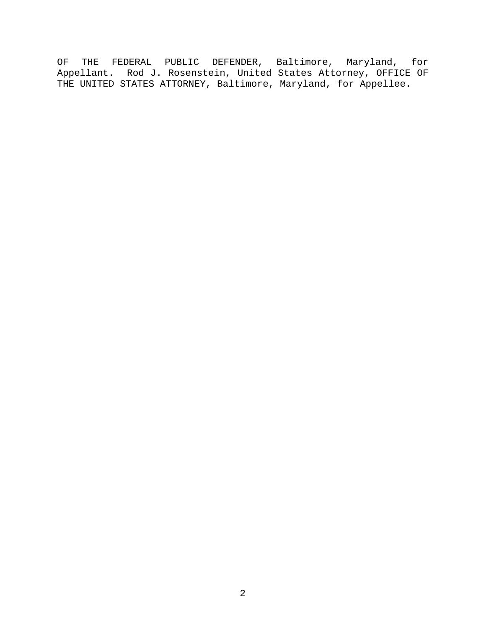OF THE FEDERAL PUBLIC DEFENDER, Baltimore, Maryland, for Appellant. Rod J. Rosenstein, United States Attorney, OFFICE OF THE UNITED STATES ATTORNEY, Baltimore, Maryland, for Appellee.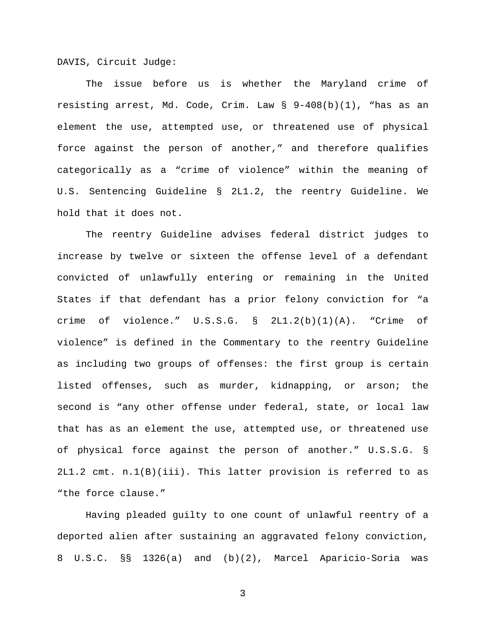DAVIS, Circuit Judge:

The issue before us is whether the Maryland crime of resisting arrest, Md. Code, Crim. Law § 9-408(b)(1), "has as an element the use, attempted use, or threatened use of physical force against the person of another," and therefore qualifies categorically as a "crime of violence" within the meaning of U.S. Sentencing Guideline § 2L1.2, the reentry Guideline. We hold that it does not.

The reentry Guideline advises federal district judges to increase by twelve or sixteen the offense level of a defendant convicted of unlawfully entering or remaining in the United States if that defendant has a prior felony conviction for "a crime of violence." U.S.S.G. § 2L1.2(b)(1)(A). "Crime of violence" is defined in the Commentary to the reentry Guideline as including two groups of offenses: the first group is certain listed offenses, such as murder, kidnapping, or arson; the second is "any other offense under federal, state, or local law that has as an element the use, attempted use, or threatened use of physical force against the person of another." U.S.S.G. § 2L1.2 cmt. n.1(B)(iii). This latter provision is referred to as "the force clause."

Having pleaded guilty to one count of unlawful reentry of a deported alien after sustaining an aggravated felony conviction, 8 U.S.C. §§ 1326(a) and (b)(2), Marcel Aparicio-Soria was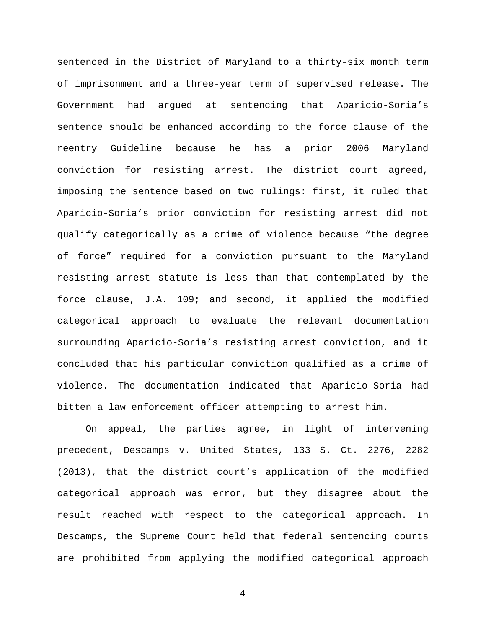sentenced in the District of Maryland to a thirty-six month term of imprisonment and a three-year term of supervised release. The Government had argued at sentencing that Aparicio-Soria's sentence should be enhanced according to the force clause of the reentry Guideline because he has a prior 2006 Maryland conviction for resisting arrest. The district court agreed, imposing the sentence based on two rulings: first, it ruled that Aparicio-Soria's prior conviction for resisting arrest did not qualify categorically as a crime of violence because "the degree of force" required for a conviction pursuant to the Maryland resisting arrest statute is less than that contemplated by the force clause, J.A. 109; and second, it applied the modified categorical approach to evaluate the relevant documentation surrounding Aparicio-Soria's resisting arrest conviction, and it concluded that his particular conviction qualified as a crime of violence. The documentation indicated that Aparicio-Soria had bitten a law enforcement officer attempting to arrest him.

On appeal, the parties agree, in light of intervening precedent, Descamps v. United States, 133 S. Ct. 2276, 2282 (2013), that the district court's application of the modified categorical approach was error, but they disagree about the result reached with respect to the categorical approach. In Descamps, the Supreme Court held that federal sentencing courts are prohibited from applying the modified categorical approach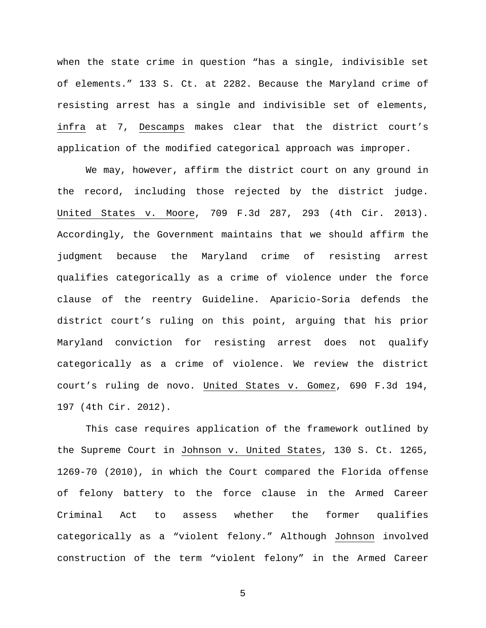when the state crime in question "has a single, indivisible set of elements." 133 S. Ct. at 2282. Because the Maryland crime of resisting arrest has a single and indivisible set of elements, infra at 7, Descamps makes clear that the district court's application of the modified categorical approach was improper.

We may, however, affirm the district court on any ground in the record, including those rejected by the district judge. United States v. Moore, 709 F.3d 287, 293 (4th Cir. 2013). Accordingly, the Government maintains that we should affirm the judgment because the Maryland crime of resisting arrest qualifies categorically as a crime of violence under the force clause of the reentry Guideline. Aparicio-Soria defends the district court's ruling on this point, arguing that his prior Maryland conviction for resisting arrest does not qualify categorically as a crime of violence. We review the district court's ruling de novo. United States v. Gomez, 690 F.3d 194, 197 (4th Cir. 2012).

This case requires application of the framework outlined by the Supreme Court in Johnson v. United States, 130 S. Ct. 1265, 1269-70 (2010), in which the Court compared the Florida offense of felony battery to the force clause in the Armed Career Criminal Act to assess whether the former qualifies categorically as a "violent felony." Although Johnson involved construction of the term "violent felony" in the Armed Career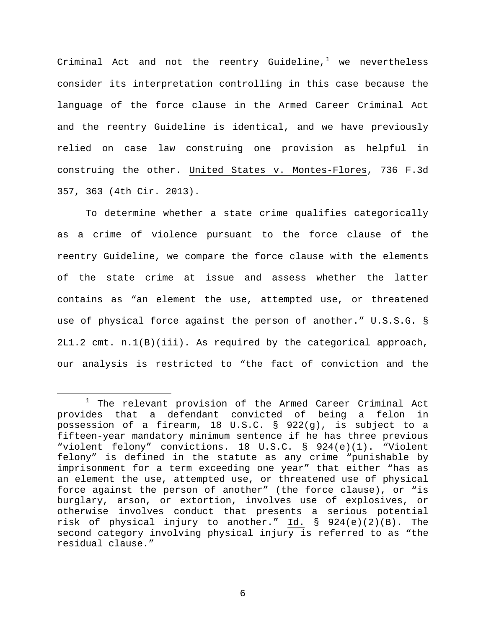Criminal Act and not the reentry Guideline,<sup>[1](#page-5-0)</sup> we nevertheless consider its interpretation controlling in this case because the language of the force clause in the Armed Career Criminal Act and the reentry Guideline is identical, and we have previously relied on case law construing one provision as helpful in construing the other. United States v. Montes-Flores, 736 F.3d 357, 363 (4th Cir. 2013).

To determine whether a state crime qualifies categorically as a crime of violence pursuant to the force clause of the reentry Guideline, we compare the force clause with the elements of the state crime at issue and assess whether the latter contains as "an element the use, attempted use, or threatened use of physical force against the person of another." U.S.S.G. § 2L1.2 cmt. n.1(B)(iii). As required by the categorical approach, our analysis is restricted to "the fact of conviction and the

<span id="page-5-0"></span><sup>&</sup>lt;sup>1</sup> The relevant provision of the Armed Career Criminal Act provides that a defendant convicted of being a felon in possession of a firearm, 18 U.S.C. § 922(g), is subject to a fifteen-year mandatory minimum sentence if he has three previous "violent felony" convictions. 18 U.S.C. § 924(e)(1). "Violent felony" is defined in the statute as any crime "punishable by imprisonment for a term exceeding one year" that either "has as an element the use, attempted use, or threatened use of physical force against the person of another" (the force clause), or "is burglary, arson, or extortion, involves use of explosives, or otherwise involves conduct that presents a serious potential risk of physical injury to another." Id. § 924(e)(2)(B). The second category involving physical injury is referred to as "the residual clause."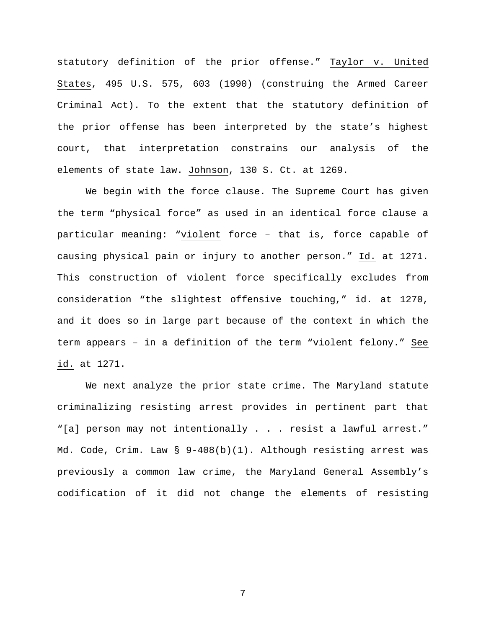statutory definition of the prior offense." Taylor v. United States, 495 U.S. 575, 603 (1990) (construing the Armed Career Criminal Act). To the extent that the statutory definition of the prior offense has been interpreted by the state's highest court, that interpretation constrains our analysis of the elements of state law. Johnson, 130 S. Ct. at 1269.

We begin with the force clause. The Supreme Court has given the term "physical force" as used in an identical force clause a particular meaning: "violent force – that is, force capable of causing physical pain or injury to another person." Id. at 1271. This construction of violent force specifically excludes from consideration "the slightest offensive touching," id. at 1270, and it does so in large part because of the context in which the term appears – in a definition of the term "violent felony." See id. at 1271.

We next analyze the prior state crime. The Maryland statute criminalizing resisting arrest provides in pertinent part that "[a] person may not intentionally . . . resist a lawful arrest." Md. Code, Crim. Law § 9-408(b)(1). Although resisting arrest was previously a common law crime, the Maryland General Assembly's codification of it did not change the elements of resisting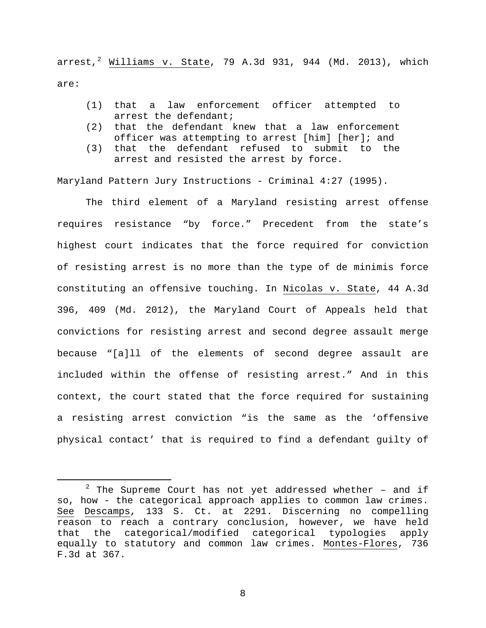arrest, $^2$  $^2$  Williams v. State, 79 A.3d 931, 944 (Md. 2013), which are:

- (1) that a law enforcement officer attempted to arrest the defendant;
- (2) that the defendant knew that a law enforcement officer was attempting to arrest [him] [her]; and
- (3) that the defendant refused to submit to the arrest and resisted the arrest by force.

Maryland Pattern Jury Instructions - Criminal 4:27 (1995).

The third element of a Maryland resisting arrest offense requires resistance "by force." Precedent from the state's highest court indicates that the force required for conviction of resisting arrest is no more than the type of de minimis force constituting an offensive touching. In Nicolas v. State, 44 A.3d 396, 409 (Md. 2012), the Maryland Court of Appeals held that convictions for resisting arrest and second degree assault merge because "[a]ll of the elements of second degree assault are included within the offense of resisting arrest." And in this context, the court stated that the force required for sustaining a resisting arrest conviction "is the same as the 'offensive physical contact' that is required to find a defendant guilty of

<span id="page-7-0"></span> $2$  The Supreme Court has not yet addressed whether - and if so, how - the categorical approach applies to common law crimes. See Descamps, 133 S. Ct. at 2291. Discerning no compelling reason to reach a contrary conclusion, however, we have held that the categorical/modified categorical typologies apply equally to statutory and common law crimes. Montes-Flores, 736 F.3d at 367.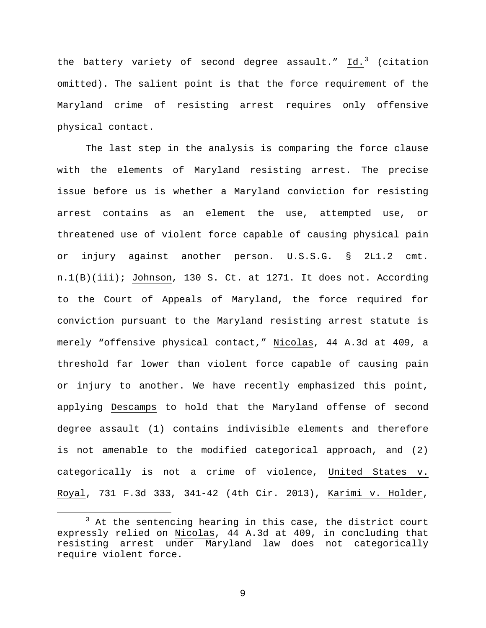the battery variety of second degree assault." Id.<sup>[3](#page-8-0)</sup> (citation omitted). The salient point is that the force requirement of the Maryland crime of resisting arrest requires only offensive physical contact.

The last step in the analysis is comparing the force clause with the elements of Maryland resisting arrest. The precise issue before us is whether a Maryland conviction for resisting arrest contains as an element the use, attempted use, or threatened use of violent force capable of causing physical pain or injury against another person. U.S.S.G. § 2L1.2 cmt. n.1(B)(iii); Johnson, 130 S. Ct. at 1271. It does not. According to the Court of Appeals of Maryland, the force required for conviction pursuant to the Maryland resisting arrest statute is merely "offensive physical contact," Nicolas, 44 A.3d at 409, a threshold far lower than violent force capable of causing pain or injury to another. We have recently emphasized this point, applying Descamps to hold that the Maryland offense of second degree assault (1) contains indivisible elements and therefore is not amenable to the modified categorical approach, and (2) categorically is not a crime of violence, United States v. Royal, 731 F.3d 333, 341-42 (4th Cir. 2013), Karimi v. Holder,

<span id="page-8-0"></span><sup>&</sup>lt;sup>3</sup> At the sentencing hearing in this case, the district court expressly relied on Nicolas, 44 A.3d at 409, in concluding that resisting arrest under Maryland law does not categorically require violent force.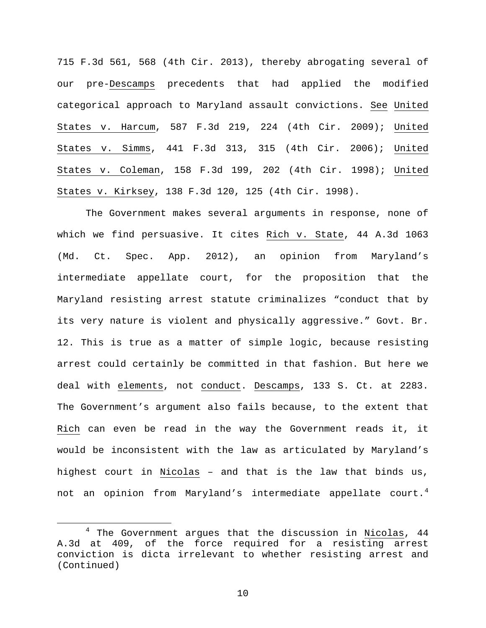715 F.3d 561, 568 (4th Cir. 2013), thereby abrogating several of our pre-Descamps precedents that had applied the modified categorical approach to Maryland assault convictions. See United States v. Harcum, 587 F.3d 219, 224 (4th Cir. 2009); United States v. Simms, 441 F.3d 313, 315 (4th Cir. 2006); United States v. Coleman, 158 F.3d 199, 202 (4th Cir. 1998); United States v. Kirksey, 138 F.3d 120, 125 (4th Cir. 1998).

The Government makes several arguments in response, none of which we find persuasive. It cites Rich v. State, 44 A.3d 1063 (Md. Ct. Spec. App. 2012), an opinion from Maryland's intermediate appellate court, for the proposition that the Maryland resisting arrest statute criminalizes "conduct that by its very nature is violent and physically aggressive." Govt. Br. 12. This is true as a matter of simple logic, because resisting arrest could certainly be committed in that fashion. But here we deal with elements, not conduct. Descamps, 133 S. Ct. at 2283. The Government's argument also fails because, to the extent that Rich can even be read in the way the Government reads it, it would be inconsistent with the law as articulated by Maryland's highest court in Nicolas – and that is the law that binds us, not an opinion from Maryland's intermediate appellate court.<sup>[4](#page-9-0)</sup>

<span id="page-9-0"></span> $4$  The Government argues that the discussion in Nicolas,  $44$ A.3d at 409, of the force required for a resisting arrest conviction is dicta irrelevant to whether resisting arrest and (Continued)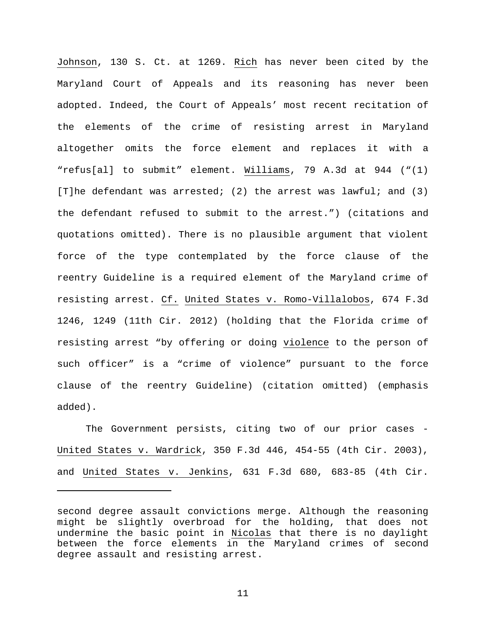Johnson, 130 S. Ct. at 1269. Rich has never been cited by the Maryland Court of Appeals and its reasoning has never been adopted. Indeed, the Court of Appeals' most recent recitation of the elements of the crime of resisting arrest in Maryland altogether omits the force element and replaces it with a "refus[al] to submit" element. Williams, 79 A.3d at 944 ("(1) [T]he defendant was arrested; (2) the arrest was lawful; and (3) the defendant refused to submit to the arrest.") (citations and quotations omitted). There is no plausible argument that violent force of the type contemplated by the force clause of the reentry Guideline is a required element of the Maryland crime of resisting arrest. Cf. United States v. Romo-Villalobos, 674 F.3d 1246, 1249 (11th Cir. 2012) (holding that the Florida crime of resisting arrest "by offering or doing violence to the person of such officer" is a "crime of violence" pursuant to the force clause of the reentry Guideline) (citation omitted) (emphasis added).

The Government persists, citing two of our prior cases -United States v. Wardrick, 350 F.3d 446, 454-55 (4th Cir. 2003), and United States v. Jenkins, 631 F.3d 680, 683-85 (4th Cir.

Ĩ.

second degree assault convictions merge. Although the reasoning might be slightly overbroad for the holding, that does not undermine the basic point in Nicolas that there is no daylight between the force elements in the Maryland crimes of second degree assault and resisting arrest.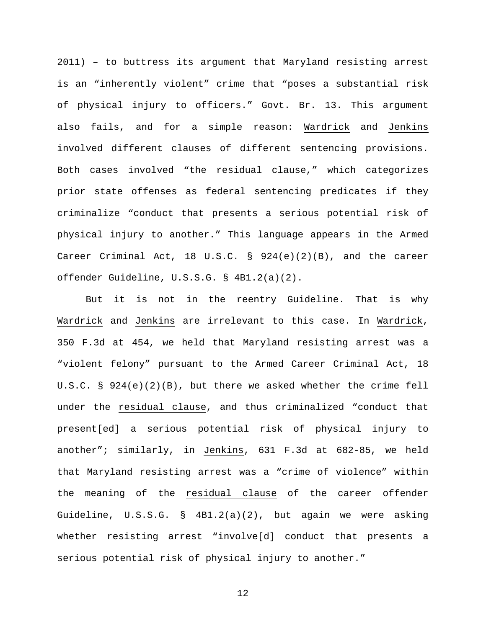2011) – to buttress its argument that Maryland resisting arrest is an "inherently violent" crime that "poses a substantial risk of physical injury to officers." Govt. Br. 13. This argument also fails, and for a simple reason: Wardrick and Jenkins involved different clauses of different sentencing provisions. Both cases involved "the residual clause," which categorizes prior state offenses as federal sentencing predicates if they criminalize "conduct that presents a serious potential risk of physical injury to another." This language appears in the Armed Career Criminal Act, 18 U.S.C. § 924(e)(2)(B), and the career offender Guideline, U.S.S.G. § 4B1.2(a)(2).

But it is not in the reentry Guideline. That is why Wardrick and Jenkins are irrelevant to this case. In Wardrick, 350 F.3d at 454, we held that Maryland resisting arrest was a "violent felony" pursuant to the Armed Career Criminal Act, 18 U.S.C. § 924(e)(2)(B), but there we asked whether the crime fell under the residual clause, and thus criminalized "conduct that present[ed] a serious potential risk of physical injury to another"; similarly, in Jenkins, 631 F.3d at 682-85, we held that Maryland resisting arrest was a "crime of violence" within the meaning of the residual clause of the career offender Guideline, U.S.S.G. § 4B1.2(a)(2), but again we were asking whether resisting arrest "involve[d] conduct that presents a serious potential risk of physical injury to another."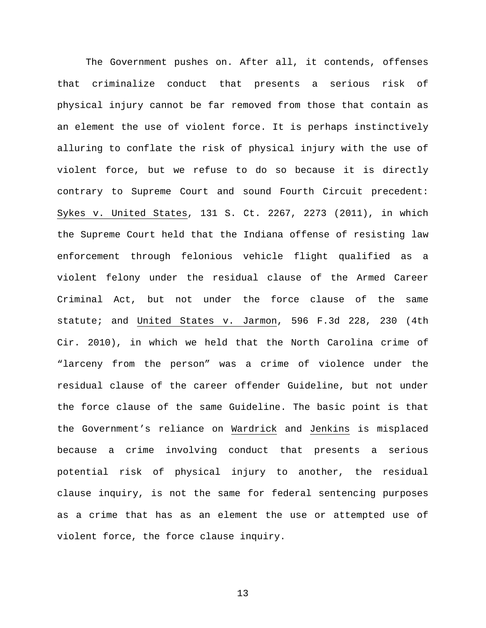The Government pushes on. After all, it contends, offenses that criminalize conduct that presents a serious risk of physical injury cannot be far removed from those that contain as an element the use of violent force. It is perhaps instinctively alluring to conflate the risk of physical injury with the use of violent force, but we refuse to do so because it is directly contrary to Supreme Court and sound Fourth Circuit precedent: Sykes v. United States, 131 S. Ct. 2267, 2273 (2011), in which the Supreme Court held that the Indiana offense of resisting law enforcement through felonious vehicle flight qualified as a violent felony under the residual clause of the Armed Career Criminal Act, but not under the force clause of the same statute; and United States v. Jarmon, 596 F.3d 228, 230 (4th Cir. 2010), in which we held that the North Carolina crime of "larceny from the person" was a crime of violence under the residual clause of the career offender Guideline, but not under the force clause of the same Guideline. The basic point is that the Government's reliance on Wardrick and Jenkins is misplaced because a crime involving conduct that presents a serious potential risk of physical injury to another, the residual clause inquiry, is not the same for federal sentencing purposes as a crime that has as an element the use or attempted use of violent force, the force clause inquiry.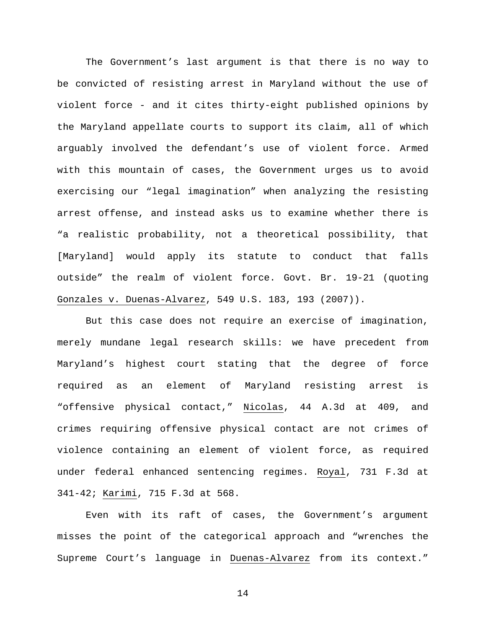The Government's last argument is that there is no way to be convicted of resisting arrest in Maryland without the use of violent force - and it cites thirty-eight published opinions by the Maryland appellate courts to support its claim, all of which arguably involved the defendant's use of violent force. Armed with this mountain of cases, the Government urges us to avoid exercising our "legal imagination" when analyzing the resisting arrest offense, and instead asks us to examine whether there is "a realistic probability, not a theoretical possibility, that [Maryland] would apply its statute to conduct that falls outside" the realm of violent force. Govt. Br. 19-21 (quoting Gonzales v. Duenas-Alvarez, 549 U.S. 183, 193 (2007)).

But this case does not require an exercise of imagination, merely mundane legal research skills: we have precedent from Maryland's highest court stating that the degree of force required as an element of Maryland resisting arrest is "offensive physical contact," Nicolas, 44 A.3d at 409, and crimes requiring offensive physical contact are not crimes of violence containing an element of violent force, as required under federal enhanced sentencing regimes. Royal, 731 F.3d at 341-42; Karimi, 715 F.3d at 568.

Even with its raft of cases, the Government's argument misses the point of the categorical approach and "wrenches the Supreme Court's language in Duenas-Alvarez from its context."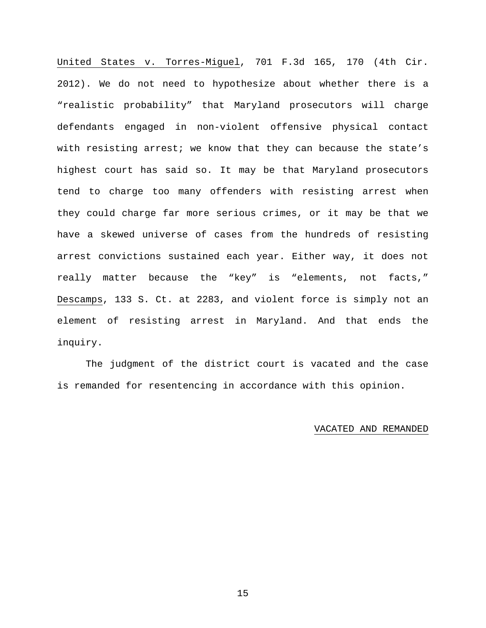United States v. Torres-Miguel, 701 F.3d 165, 170 (4th Cir. 2012). We do not need to hypothesize about whether there is a "realistic probability" that Maryland prosecutors will charge defendants engaged in non-violent offensive physical contact with resisting arrest; we know that they can because the state's highest court has said so. It may be that Maryland prosecutors tend to charge too many offenders with resisting arrest when they could charge far more serious crimes, or it may be that we have a skewed universe of cases from the hundreds of resisting arrest convictions sustained each year. Either way, it does not really matter because the "key" is "elements, not facts," Descamps, 133 S. Ct. at 2283, and violent force is simply not an element of resisting arrest in Maryland. And that ends the inquiry.

The judgment of the district court is vacated and the case is remanded for resentencing in accordance with this opinion.

## VACATED AND REMANDED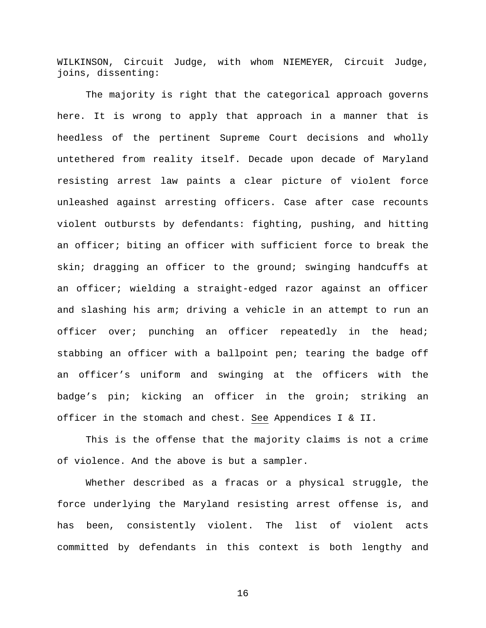WILKINSON, Circuit Judge, with whom NIEMEYER, Circuit Judge, joins, dissenting:

The majority is right that the categorical approach governs here. It is wrong to apply that approach in a manner that is heedless of the pertinent Supreme Court decisions and wholly untethered from reality itself. Decade upon decade of Maryland resisting arrest law paints a clear picture of violent force unleashed against arresting officers. Case after case recounts violent outbursts by defendants: fighting, pushing, and hitting an officer; biting an officer with sufficient force to break the skin; dragging an officer to the ground; swinging handcuffs at an officer; wielding a straight-edged razor against an officer and slashing his arm; driving a vehicle in an attempt to run an officer over; punching an officer repeatedly in the head; stabbing an officer with a ballpoint pen; tearing the badge off an officer's uniform and swinging at the officers with the badge's pin; kicking an officer in the groin; striking an officer in the stomach and chest. See Appendices I & II.

This is the offense that the majority claims is not a crime of violence. And the above is but a sampler.

Whether described as a fracas or a physical struggle, the force underlying the Maryland resisting arrest offense is, and has been, consistently violent. The list of violent acts committed by defendants in this context is both lengthy and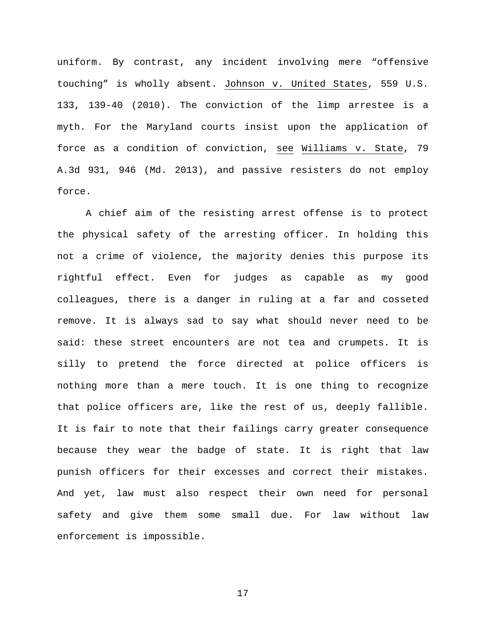uniform. By contrast, any incident involving mere "offensive touching" is wholly absent. Johnson v. United States, 559 U.S. 133, 139-40 (2010). The conviction of the limp arrestee is a myth. For the Maryland courts insist upon the application of force as a condition of conviction, see Williams v. State, 79 A.3d 931, 946 (Md. 2013), and passive resisters do not employ force.

A chief aim of the resisting arrest offense is to protect the physical safety of the arresting officer. In holding this not a crime of violence, the majority denies this purpose its rightful effect. Even for judges as capable as my good colleagues, there is a danger in ruling at a far and cosseted remove. It is always sad to say what should never need to be said: these street encounters are not tea and crumpets. It is silly to pretend the force directed at police officers is nothing more than a mere touch. It is one thing to recognize that police officers are, like the rest of us, deeply fallible. It is fair to note that their failings carry greater consequence because they wear the badge of state. It is right that law punish officers for their excesses and correct their mistakes. And yet, law must also respect their own need for personal safety and give them some small due. For law without law enforcement is impossible.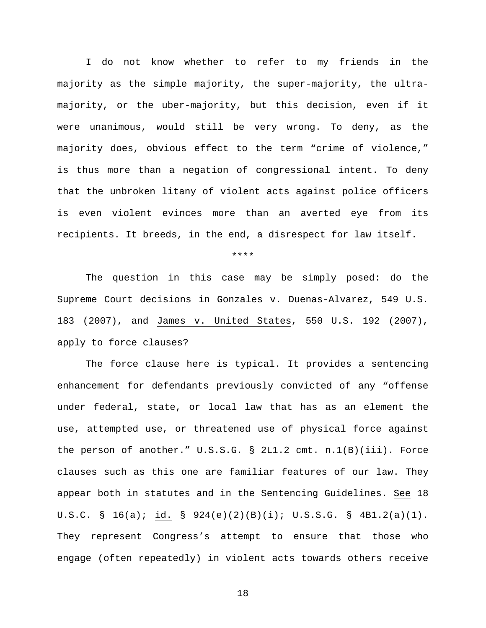I do not know whether to refer to my friends in the majority as the simple majority, the super-majority, the ultramajority, or the uber-majority, but this decision, even if it were unanimous, would still be very wrong. To deny, as the majority does, obvious effect to the term "crime of violence," is thus more than a negation of congressional intent. To deny that the unbroken litany of violent acts against police officers is even violent evinces more than an averted eye from its recipients. It breeds, in the end, a disrespect for law itself.

\*\*\*\*

The question in this case may be simply posed: do the Supreme Court decisions in Gonzales v. Duenas-Alvarez, 549 U.S. 183 (2007), and James v. United States, 550 U.S. 192 (2007), apply to force clauses?

The force clause here is typical. It provides a sentencing enhancement for defendants previously convicted of any "offense under federal, state, or local law that has as an element the use, attempted use, or threatened use of physical force against the person of another." U.S.S.G. § 2L1.2 cmt. n.1(B)(iii). Force clauses such as this one are familiar features of our law. They appear both in statutes and in the Sentencing Guidelines. See 18 U.S.C. § 16(a); id. § 924(e)(2)(B)(i); U.S.S.G. § 4B1.2(a)(1). They represent Congress's attempt to ensure that those who engage (often repeatedly) in violent acts towards others receive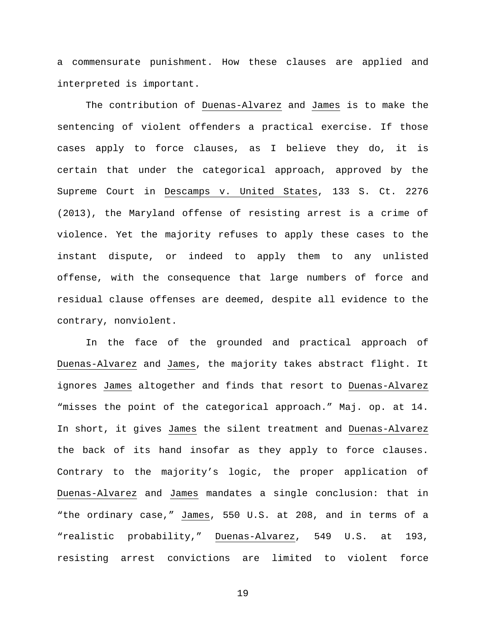a commensurate punishment. How these clauses are applied and interpreted is important.

The contribution of Duenas-Alvarez and James is to make the sentencing of violent offenders a practical exercise. If those cases apply to force clauses, as I believe they do, it is certain that under the categorical approach, approved by the Supreme Court in Descamps v. United States, 133 S. Ct. 2276 (2013), the Maryland offense of resisting arrest is a crime of violence. Yet the majority refuses to apply these cases to the instant dispute, or indeed to apply them to any unlisted offense, with the consequence that large numbers of force and residual clause offenses are deemed, despite all evidence to the contrary, nonviolent.

In the face of the grounded and practical approach of Duenas-Alvarez and James, the majority takes abstract flight. It ignores James altogether and finds that resort to Duenas-Alvarez "misses the point of the categorical approach." Maj. op. at 14. In short, it gives James the silent treatment and Duenas-Alvarez the back of its hand insofar as they apply to force clauses. Contrary to the majority's logic, the proper application of Duenas-Alvarez and James mandates a single conclusion: that in "the ordinary case," James, 550 U.S. at 208, and in terms of a "realistic probability," Duenas-Alvarez, 549 U.S. at 193, resisting arrest convictions are limited to violent force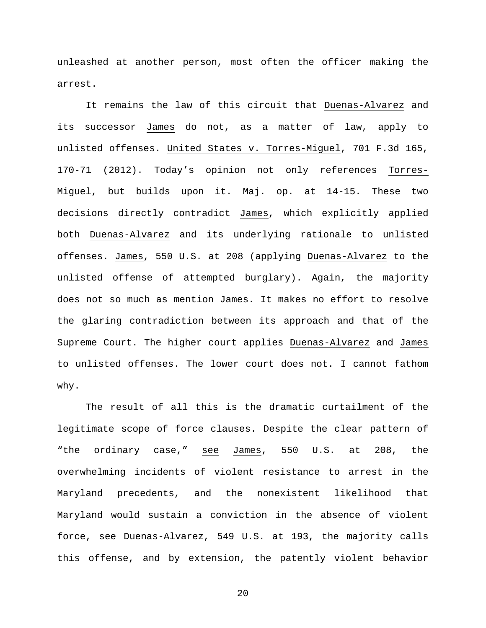unleashed at another person, most often the officer making the arrest.

It remains the law of this circuit that Duenas-Alvarez and its successor James do not, as a matter of law, apply to unlisted offenses. United States v. Torres-Miguel, 701 F.3d 165, 170-71 (2012). Today's opinion not only references Torres-Miguel, but builds upon it. Maj. op. at 14-15. These two decisions directly contradict James, which explicitly applied both Duenas-Alvarez and its underlying rationale to unlisted offenses. James, 550 U.S. at 208 (applying Duenas-Alvarez to the unlisted offense of attempted burglary). Again, the majority does not so much as mention James. It makes no effort to resolve the glaring contradiction between its approach and that of the Supreme Court. The higher court applies Duenas-Alvarez and James to unlisted offenses. The lower court does not. I cannot fathom why.

The result of all this is the dramatic curtailment of the legitimate scope of force clauses. Despite the clear pattern of "the ordinary case," see James, 550 U.S. at 208, the overwhelming incidents of violent resistance to arrest in the Maryland precedents, and the nonexistent likelihood that Maryland would sustain a conviction in the absence of violent force, see Duenas-Alvarez, 549 U.S. at 193, the majority calls this offense, and by extension, the patently violent behavior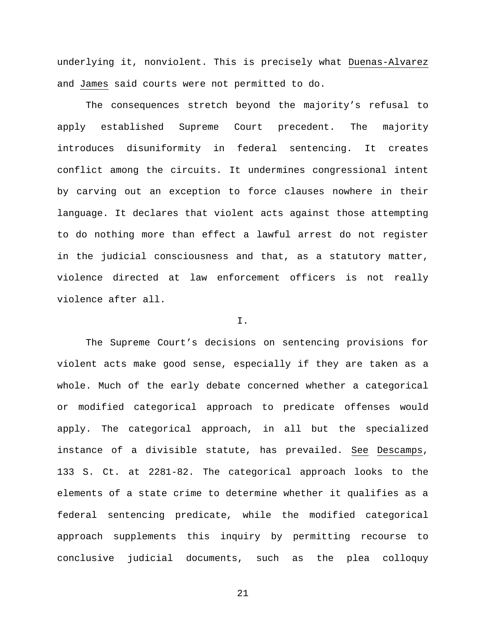underlying it, nonviolent. This is precisely what Duenas-Alvarez and James said courts were not permitted to do.

The consequences stretch beyond the majority's refusal to apply established Supreme Court precedent. The majority introduces disuniformity in federal sentencing. It creates conflict among the circuits. It undermines congressional intent by carving out an exception to force clauses nowhere in their language. It declares that violent acts against those attempting to do nothing more than effect a lawful arrest do not register in the judicial consciousness and that, as a statutory matter, violence directed at law enforcement officers is not really violence after all.

## I.

The Supreme Court's decisions on sentencing provisions for violent acts make good sense, especially if they are taken as a whole. Much of the early debate concerned whether a categorical or modified categorical approach to predicate offenses would apply. The categorical approach, in all but the specialized instance of a divisible statute, has prevailed. See Descamps, 133 S. Ct. at 2281-82. The categorical approach looks to the elements of a state crime to determine whether it qualifies as a federal sentencing predicate, while the modified categorical approach supplements this inquiry by permitting recourse to conclusive judicial documents, such as the plea colloquy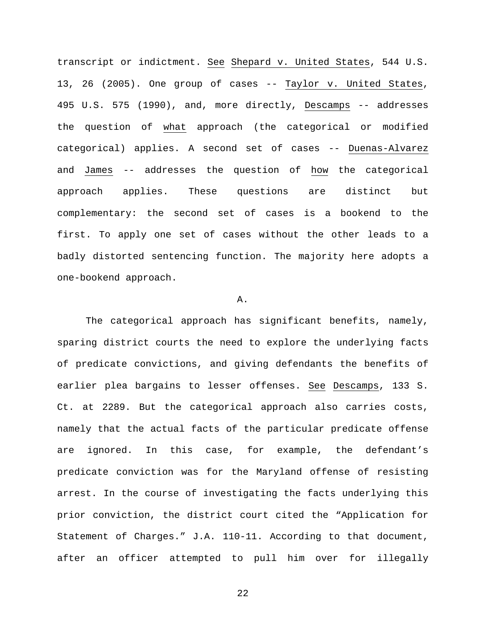transcript or indictment. See Shepard v. United States, 544 U.S. 13, 26 (2005). One group of cases -- Taylor v. United States, 495 U.S. 575 (1990), and, more directly, Descamps -- addresses the question of what approach (the categorical or modified categorical) applies. A second set of cases -- Duenas-Alvarez and James -- addresses the question of how the categorical approach applies. These questions are distinct but complementary: the second set of cases is a bookend to the first. To apply one set of cases without the other leads to a badly distorted sentencing function. The majority here adopts a one-bookend approach.

## A.

The categorical approach has significant benefits, namely, sparing district courts the need to explore the underlying facts of predicate convictions, and giving defendants the benefits of earlier plea bargains to lesser offenses. See Descamps, 133 S. Ct. at 2289. But the categorical approach also carries costs, namely that the actual facts of the particular predicate offense are ignored. In this case, for example, the defendant's predicate conviction was for the Maryland offense of resisting arrest. In the course of investigating the facts underlying this prior conviction, the district court cited the "Application for Statement of Charges." J.A. 110-11. According to that document, after an officer attempted to pull him over for illegally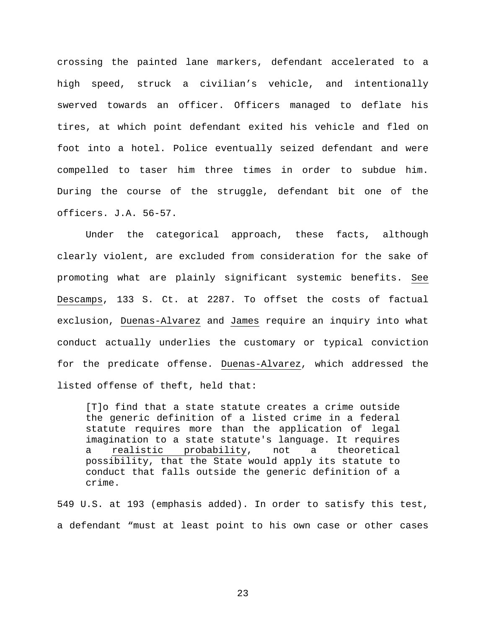crossing the painted lane markers, defendant accelerated to a high speed, struck a civilian's vehicle, and intentionally swerved towards an officer. Officers managed to deflate his tires, at which point defendant exited his vehicle and fled on foot into a hotel. Police eventually seized defendant and were compelled to taser him three times in order to subdue him. During the course of the struggle, defendant bit one of the officers. J.A. 56-57.

Under the categorical approach, these facts, although clearly violent, are excluded from consideration for the sake of promoting what are plainly significant systemic benefits. See Descamps, 133 S. Ct. at 2287. To offset the costs of factual exclusion, Duenas-Alvarez and James require an inquiry into what conduct actually underlies the customary or typical conviction for the predicate offense. Duenas-Alvarez, which addressed the listed offense of theft, held that:

[T]o find that a state statute creates a crime outside the generic definition of a listed crime in a federal statute requires more than the application of legal imagination to a state statute's language. It requires a realistic probability, not a theoretical possibility, that the State would apply its statute to conduct that falls outside the generic definition of a crime.

549 U.S. at 193 (emphasis added). In order to satisfy this test, a defendant "must at least point to his own case or other cases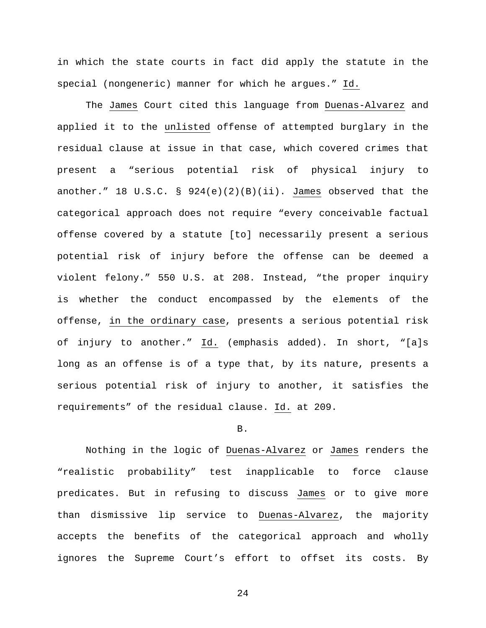in which the state courts in fact did apply the statute in the special (nongeneric) manner for which he argues." Id.

The James Court cited this language from Duenas-Alvarez and applied it to the unlisted offense of attempted burglary in the residual clause at issue in that case, which covered crimes that present a "serious potential risk of physical injury to another." 18 U.S.C. § 924(e)(2)(B)(ii). James observed that the categorical approach does not require "every conceivable factual offense covered by a statute [to] necessarily present a serious potential risk of injury before the offense can be deemed a violent felony." 550 U.S. at 208. Instead, "the proper inquiry is whether the conduct encompassed by the elements of the offense, in the ordinary case, presents a serious potential risk of injury to another." Id. (emphasis added). In short, "[a]s long as an offense is of a type that, by its nature, presents a serious potential risk of injury to another, it satisfies the requirements" of the residual clause. Id. at 209.

## B.

Nothing in the logic of Duenas-Alvarez or James renders the "realistic probability" test inapplicable to force clause predicates. But in refusing to discuss James or to give more than dismissive lip service to Duenas-Alvarez, the majority accepts the benefits of the categorical approach and wholly ignores the Supreme Court's effort to offset its costs. By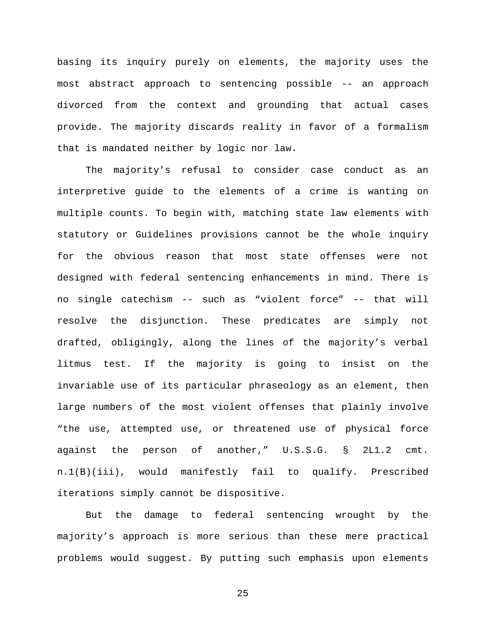basing its inquiry purely on elements, the majority uses the most abstract approach to sentencing possible -- an approach divorced from the context and grounding that actual cases provide. The majority discards reality in favor of a formalism that is mandated neither by logic nor law.

The majority's refusal to consider case conduct as an interpretive guide to the elements of a crime is wanting on multiple counts. To begin with, matching state law elements with statutory or Guidelines provisions cannot be the whole inquiry for the obvious reason that most state offenses were not designed with federal sentencing enhancements in mind. There is no single catechism -- such as "violent force" -- that will resolve the disjunction. These predicates are simply not drafted, obligingly, along the lines of the majority's verbal litmus test. If the majority is going to insist on the invariable use of its particular phraseology as an element, then large numbers of the most violent offenses that plainly involve "the use, attempted use, or threatened use of physical force against the person of another," U.S.S.G. § 2L1.2 cmt. n.1(B)(iii), would manifestly fail to qualify. Prescribed iterations simply cannot be dispositive.

But the damage to federal sentencing wrought by the majority's approach is more serious than these mere practical problems would suggest. By putting such emphasis upon elements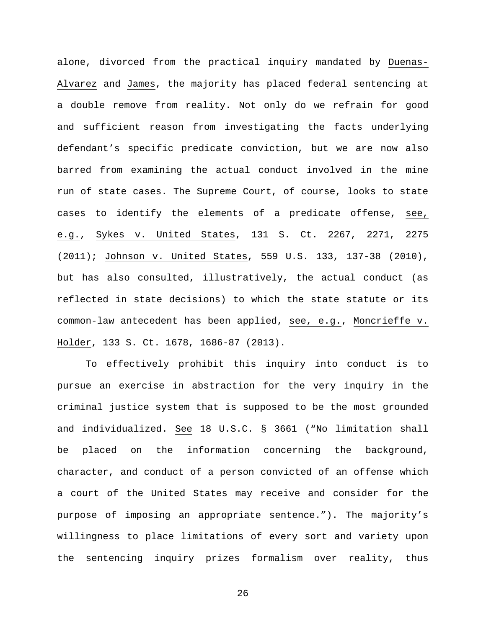alone, divorced from the practical inquiry mandated by Duenas-Alvarez and James, the majority has placed federal sentencing at a double remove from reality. Not only do we refrain for good and sufficient reason from investigating the facts underlying defendant's specific predicate conviction, but we are now also barred from examining the actual conduct involved in the mine run of state cases. The Supreme Court, of course, looks to state cases to identify the elements of a predicate offense, see, e.g., Sykes v. United States, 131 S. Ct. 2267, 2271, 2275 (2011); Johnson v. United States, 559 U.S. 133, 137-38 (2010), but has also consulted, illustratively, the actual conduct (as reflected in state decisions) to which the state statute or its common-law antecedent has been applied, see, e.g., Moncrieffe v. Holder, 133 S. Ct. 1678, 1686-87 (2013).

To effectively prohibit this inquiry into conduct is to pursue an exercise in abstraction for the very inquiry in the criminal justice system that is supposed to be the most grounded and individualized. See 18 U.S.C. § 3661 ("No limitation shall be placed on the information concerning the background, character, and conduct of a person convicted of an offense which a court of the United States may receive and consider for the purpose of imposing an appropriate sentence."). The majority's willingness to place limitations of every sort and variety upon the sentencing inquiry prizes formalism over reality, thus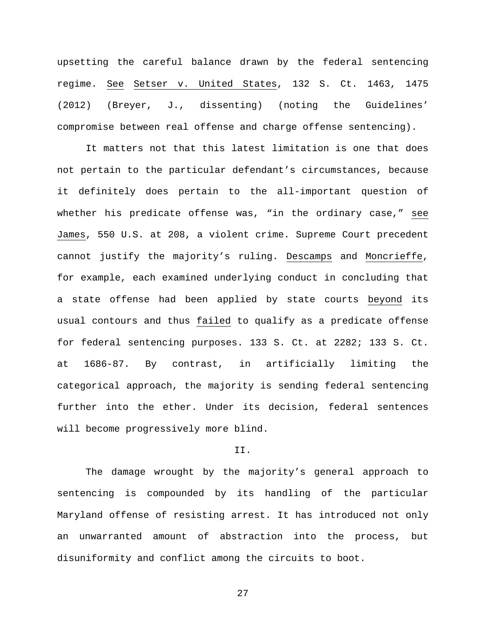upsetting the careful balance drawn by the federal sentencing regime. See Setser v. United States, 132 S. Ct. 1463, 1475 (2012) (Breyer, J., dissenting) (noting the Guidelines' compromise between real offense and charge offense sentencing).

It matters not that this latest limitation is one that does not pertain to the particular defendant's circumstances, because it definitely does pertain to the all-important question of whether his predicate offense was, "in the ordinary case," see James, 550 U.S. at 208, a violent crime. Supreme Court precedent cannot justify the majority's ruling. Descamps and Moncrieffe, for example, each examined underlying conduct in concluding that a state offense had been applied by state courts beyond its usual contours and thus failed to qualify as a predicate offense for federal sentencing purposes. 133 S. Ct. at 2282; 133 S. Ct. at 1686-87. By contrast, in artificially limiting the categorical approach, the majority is sending federal sentencing further into the ether. Under its decision, federal sentences will become progressively more blind.

## II.

The damage wrought by the majority's general approach to sentencing is compounded by its handling of the particular Maryland offense of resisting arrest. It has introduced not only an unwarranted amount of abstraction into the process, but disuniformity and conflict among the circuits to boot.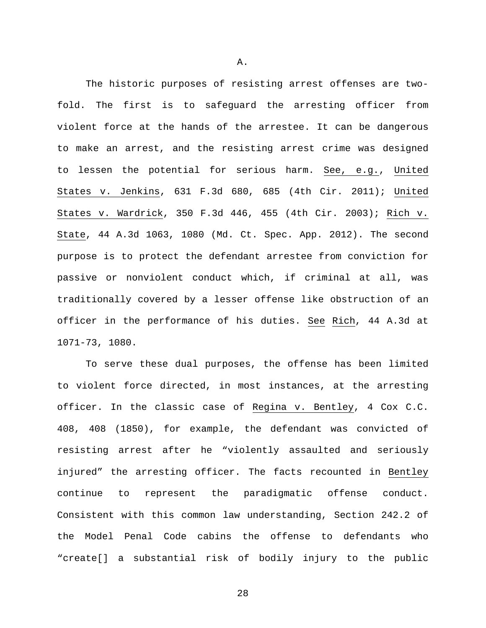The historic purposes of resisting arrest offenses are twofold. The first is to safeguard the arresting officer from violent force at the hands of the arrestee. It can be dangerous to make an arrest, and the resisting arrest crime was designed to lessen the potential for serious harm. See, e.g., United States v. Jenkins, 631 F.3d 680, 685 (4th Cir. 2011); United States v. Wardrick, 350 F.3d 446, 455 (4th Cir. 2003); Rich v. State, 44 A.3d 1063, 1080 (Md. Ct. Spec. App. 2012). The second purpose is to protect the defendant arrestee from conviction for passive or nonviolent conduct which, if criminal at all, was traditionally covered by a lesser offense like obstruction of an officer in the performance of his duties. See Rich, 44 A.3d at 1071-73, 1080.

To serve these dual purposes, the offense has been limited to violent force directed, in most instances, at the arresting officer. In the classic case of Regina v. Bentley, 4 Cox C.C. 408, 408 (1850), for example, the defendant was convicted of resisting arrest after he "violently assaulted and seriously injured" the arresting officer. The facts recounted in Bentley continue to represent the paradigmatic offense conduct. Consistent with this common law understanding, Section 242.2 of the Model Penal Code cabins the offense to defendants who "create[] a substantial risk of bodily injury to the public

A.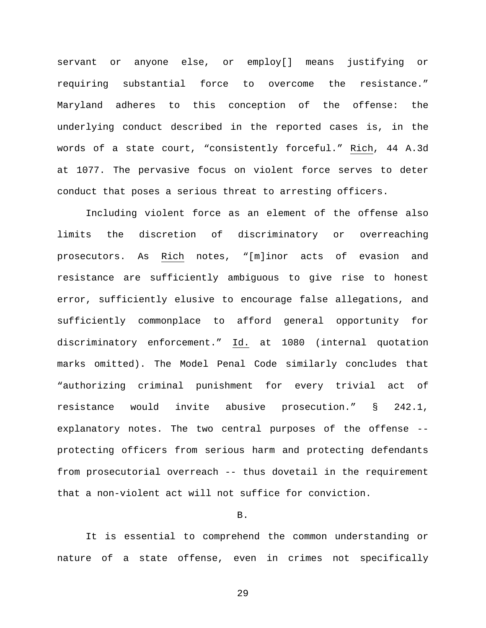servant or anyone else, or employ[] means justifying or requiring substantial force to overcome the resistance." Maryland adheres to this conception of the offense: the underlying conduct described in the reported cases is, in the words of a state court, "consistently forceful." Rich, 44 A.3d at 1077. The pervasive focus on violent force serves to deter conduct that poses a serious threat to arresting officers.

Including violent force as an element of the offense also limits the discretion of discriminatory or overreaching prosecutors. As Rich notes, "[m]inor acts of evasion and resistance are sufficiently ambiguous to give rise to honest error, sufficiently elusive to encourage false allegations, and sufficiently commonplace to afford general opportunity for discriminatory enforcement." Id. at 1080 (internal quotation marks omitted). The Model Penal Code similarly concludes that "authorizing criminal punishment for every trivial act of resistance would invite abusive prosecution." § 242.1, explanatory notes. The two central purposes of the offense - protecting officers from serious harm and protecting defendants from prosecutorial overreach -- thus dovetail in the requirement that a non-violent act will not suffice for conviction.

## B.

It is essential to comprehend the common understanding or nature of a state offense, even in crimes not specifically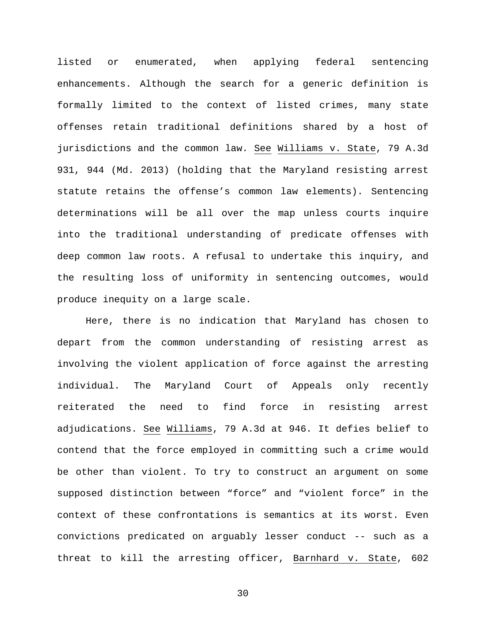listed or enumerated, when applying federal sentencing enhancements. Although the search for a generic definition is formally limited to the context of listed crimes, many state offenses retain traditional definitions shared by a host of jurisdictions and the common law. See Williams v. State, 79 A.3d 931, 944 (Md. 2013) (holding that the Maryland resisting arrest statute retains the offense's common law elements). Sentencing determinations will be all over the map unless courts inquire into the traditional understanding of predicate offenses with deep common law roots. A refusal to undertake this inquiry, and the resulting loss of uniformity in sentencing outcomes, would produce inequity on a large scale.

Here, there is no indication that Maryland has chosen to depart from the common understanding of resisting arrest as involving the violent application of force against the arresting individual. The Maryland Court of Appeals only recently reiterated the need to find force in resisting arrest adjudications. See Williams, 79 A.3d at 946. It defies belief to contend that the force employed in committing such a crime would be other than violent. To try to construct an argument on some supposed distinction between "force" and "violent force" in the context of these confrontations is semantics at its worst. Even convictions predicated on arguably lesser conduct -- such as a threat to kill the arresting officer, Barnhard v. State, 602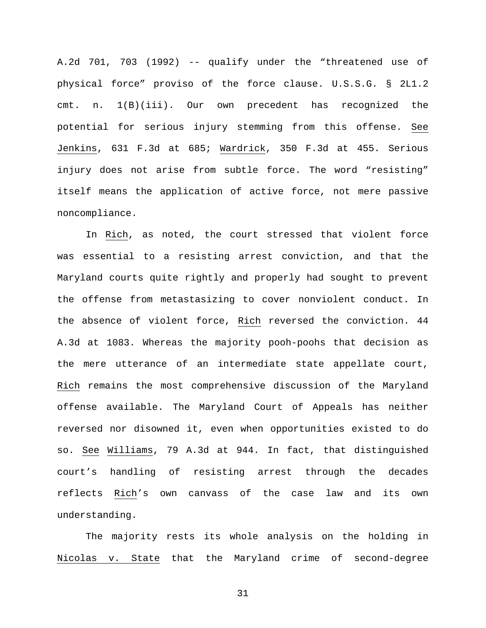A.2d 701, 703 (1992) -- qualify under the "threatened use of physical force" proviso of the force clause. U.S.S.G. § 2L1.2 cmt. n. 1(B)(iii). Our own precedent has recognized the potential for serious injury stemming from this offense. See Jenkins, 631 F.3d at 685; Wardrick, 350 F.3d at 455. Serious injury does not arise from subtle force. The word "resisting" itself means the application of active force, not mere passive noncompliance.

In Rich, as noted, the court stressed that violent force was essential to a resisting arrest conviction, and that the Maryland courts quite rightly and properly had sought to prevent the offense from metastasizing to cover nonviolent conduct. In the absence of violent force, Rich reversed the conviction. 44 A.3d at 1083. Whereas the majority pooh-poohs that decision as the mere utterance of an intermediate state appellate court, Rich remains the most comprehensive discussion of the Maryland offense available. The Maryland Court of Appeals has neither reversed nor disowned it, even when opportunities existed to do so. See Williams, 79 A.3d at 944. In fact, that distinguished court's handling of resisting arrest through the decades reflects Rich's own canvass of the case law and its own understanding.

The majority rests its whole analysis on the holding in Nicolas v. State that the Maryland crime of second-degree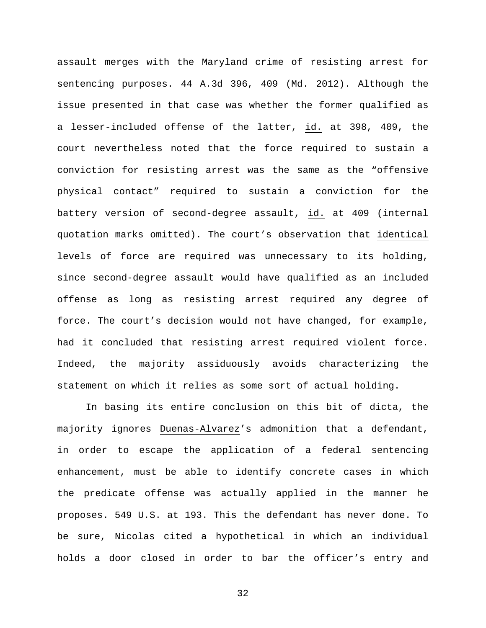assault merges with the Maryland crime of resisting arrest for sentencing purposes. 44 A.3d 396, 409 (Md. 2012). Although the issue presented in that case was whether the former qualified as a lesser-included offense of the latter, id. at 398, 409, the court nevertheless noted that the force required to sustain a conviction for resisting arrest was the same as the "offensive physical contact" required to sustain a conviction for the battery version of second-degree assault, id. at 409 (internal quotation marks omitted). The court's observation that identical levels of force are required was unnecessary to its holding, since second-degree assault would have qualified as an included offense as long as resisting arrest required any degree of force. The court's decision would not have changed, for example, had it concluded that resisting arrest required violent force. Indeed, the majority assiduously avoids characterizing the statement on which it relies as some sort of actual holding.

In basing its entire conclusion on this bit of dicta, the majority ignores Duenas-Alvarez's admonition that a defendant, in order to escape the application of a federal sentencing enhancement, must be able to identify concrete cases in which the predicate offense was actually applied in the manner he proposes. 549 U.S. at 193. This the defendant has never done. To be sure, Nicolas cited a hypothetical in which an individual holds a door closed in order to bar the officer's entry and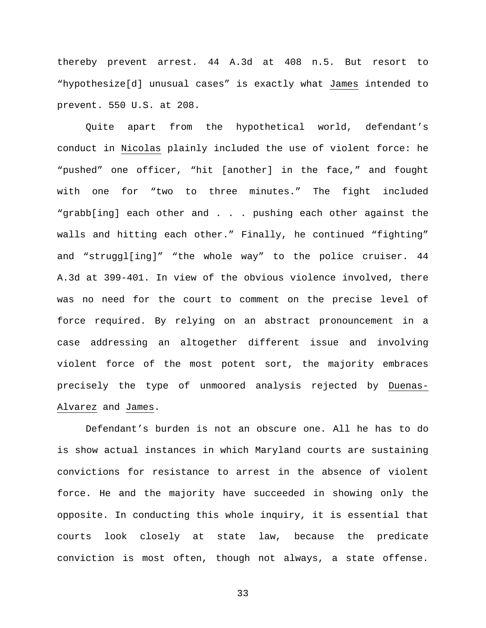thereby prevent arrest. 44 A.3d at 408 n.5. But resort to "hypothesize[d] unusual cases" is exactly what James intended to prevent. 550 U.S. at 208.

Quite apart from the hypothetical world, defendant's conduct in Nicolas plainly included the use of violent force: he "pushed" one officer, "hit [another] in the face," and fought with one for "two to three minutes." The fight included "grabb[ing] each other and . . . pushing each other against the walls and hitting each other." Finally, he continued "fighting" and "struggl[ing]" "the whole way" to the police cruiser. 44 A.3d at 399-401. In view of the obvious violence involved, there was no need for the court to comment on the precise level of force required. By relying on an abstract pronouncement in a case addressing an altogether different issue and involving violent force of the most potent sort, the majority embraces precisely the type of unmoored analysis rejected by Duenas-Alvarez and James.

Defendant's burden is not an obscure one. All he has to do is show actual instances in which Maryland courts are sustaining convictions for resistance to arrest in the absence of violent force. He and the majority have succeeded in showing only the opposite. In conducting this whole inquiry, it is essential that courts look closely at state law, because the predicate conviction is most often, though not always, a state offense.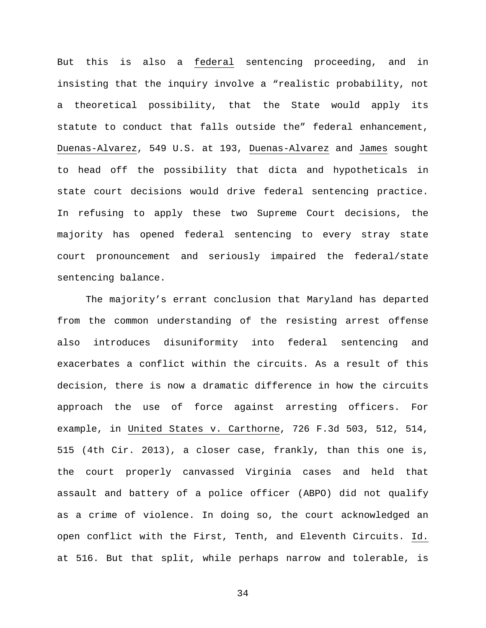But this is also a federal sentencing proceeding, and in insisting that the inquiry involve a "realistic probability, not a theoretical possibility, that the State would apply its statute to conduct that falls outside the" federal enhancement, Duenas-Alvarez, 549 U.S. at 193, Duenas-Alvarez and James sought to head off the possibility that dicta and hypotheticals in state court decisions would drive federal sentencing practice. In refusing to apply these two Supreme Court decisions, the majority has opened federal sentencing to every stray state court pronouncement and seriously impaired the federal/state sentencing balance.

The majority's errant conclusion that Maryland has departed from the common understanding of the resisting arrest offense also introduces disuniformity into federal sentencing and exacerbates a conflict within the circuits. As a result of this decision, there is now a dramatic difference in how the circuits approach the use of force against arresting officers. For example, in United States v. Carthorne, 726 F.3d 503, 512, 514, 515 (4th Cir. 2013), a closer case, frankly, than this one is, the court properly canvassed Virginia cases and held that assault and battery of a police officer (ABPO) did not qualify as a crime of violence. In doing so, the court acknowledged an open conflict with the First, Tenth, and Eleventh Circuits. Id. at 516. But that split, while perhaps narrow and tolerable, is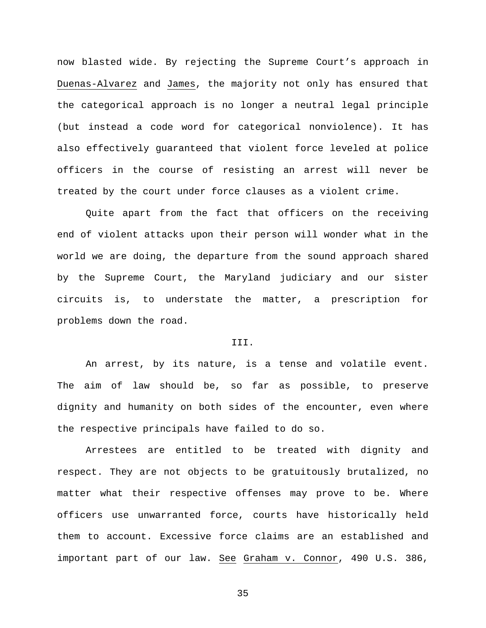now blasted wide. By rejecting the Supreme Court's approach in Duenas-Alvarez and James, the majority not only has ensured that the categorical approach is no longer a neutral legal principle (but instead a code word for categorical nonviolence). It has also effectively guaranteed that violent force leveled at police officers in the course of resisting an arrest will never be treated by the court under force clauses as a violent crime.

Quite apart from the fact that officers on the receiving end of violent attacks upon their person will wonder what in the world we are doing, the departure from the sound approach shared by the Supreme Court, the Maryland judiciary and our sister circuits is, to understate the matter, a prescription for problems down the road.

## III.

An arrest, by its nature, is a tense and volatile event. The aim of law should be, so far as possible, to preserve dignity and humanity on both sides of the encounter, even where the respective principals have failed to do so.

Arrestees are entitled to be treated with dignity and respect. They are not objects to be gratuitously brutalized, no matter what their respective offenses may prove to be. Where officers use unwarranted force, courts have historically held them to account. Excessive force claims are an established and important part of our law. See Graham v. Connor, 490 U.S. 386,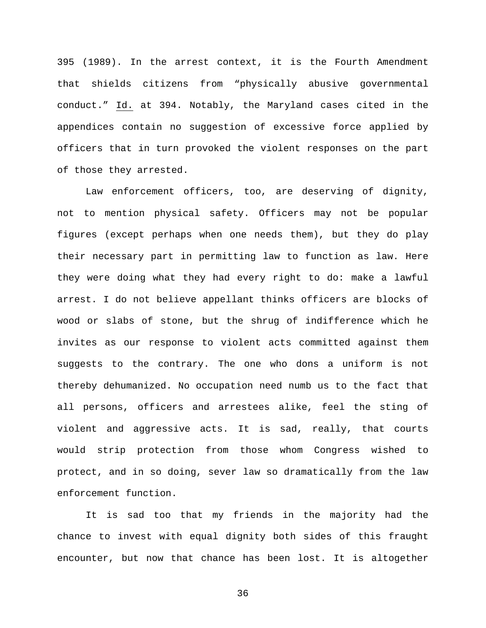395 (1989). In the arrest context, it is the Fourth Amendment that shields citizens from "physically abusive governmental conduct." Id. at 394. Notably, the Maryland cases cited in the appendices contain no suggestion of excessive force applied by officers that in turn provoked the violent responses on the part of those they arrested.

Law enforcement officers, too, are deserving of dignity, not to mention physical safety. Officers may not be popular figures (except perhaps when one needs them), but they do play their necessary part in permitting law to function as law. Here they were doing what they had every right to do: make a lawful arrest. I do not believe appellant thinks officers are blocks of wood or slabs of stone, but the shrug of indifference which he invites as our response to violent acts committed against them suggests to the contrary. The one who dons a uniform is not thereby dehumanized. No occupation need numb us to the fact that all persons, officers and arrestees alike, feel the sting of violent and aggressive acts. It is sad, really, that courts would strip protection from those whom Congress wished to protect, and in so doing, sever law so dramatically from the law enforcement function.

It is sad too that my friends in the majority had the chance to invest with equal dignity both sides of this fraught encounter, but now that chance has been lost. It is altogether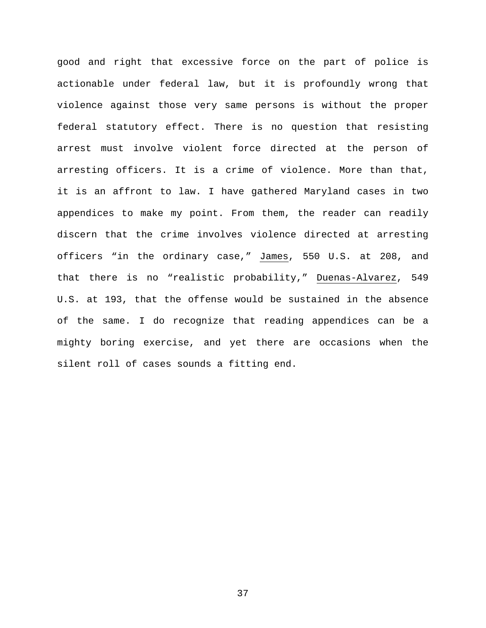good and right that excessive force on the part of police is actionable under federal law, but it is profoundly wrong that violence against those very same persons is without the proper federal statutory effect. There is no question that resisting arrest must involve violent force directed at the person of arresting officers. It is a crime of violence. More than that, it is an affront to law. I have gathered Maryland cases in two appendices to make my point. From them, the reader can readily discern that the crime involves violence directed at arresting officers "in the ordinary case," James, 550 U.S. at 208, and that there is no "realistic probability," Duenas-Alvarez, 549 U.S. at 193, that the offense would be sustained in the absence of the same. I do recognize that reading appendices can be a mighty boring exercise, and yet there are occasions when the silent roll of cases sounds a fitting end.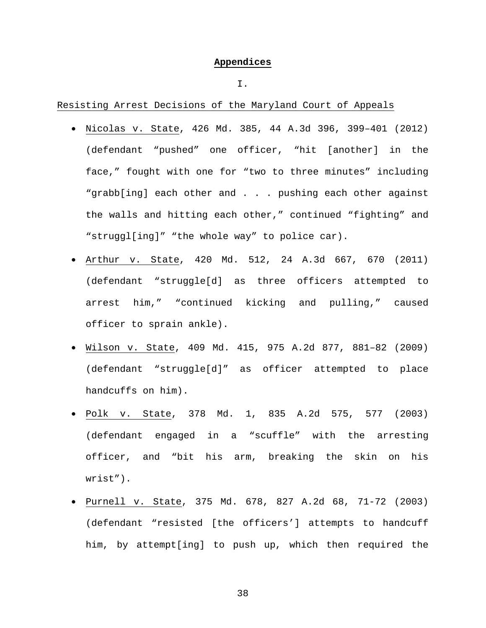# **Appendices**

## I.

Resisting Arrest Decisions of the Maryland Court of Appeals

- Nicolas v. State, 426 Md. 385, 44 A.3d 396, 399–401 (2012) (defendant "pushed" one officer, "hit [another] in the face," fought with one for "two to three minutes" including "grabb[ing] each other and . . . pushing each other against the walls and hitting each other," continued "fighting" and "struggl[ing]" "the whole way" to police car).
- Arthur v. State, 420 Md. 512, 24 A.3d 667, 670 (2011) (defendant "struggle[d] as three officers attempted to arrest him," "continued kicking and pulling," caused officer to sprain ankle).
- Wilson v. State, 409 Md. 415, 975 A.2d 877, 881–82 (2009) (defendant "struggle[d]" as officer attempted to place handcuffs on him).
- Polk v. State, 378 Md. 1, 835 A.2d 575, 577 (2003) (defendant engaged in a "scuffle" with the arresting officer, and "bit his arm, breaking the skin on his wrist").
- Purnell v. State, 375 Md. 678, 827 A.2d 68, 71-72 (2003) (defendant "resisted [the officers'] attempts to handcuff him, by attempt[ing] to push up, which then required the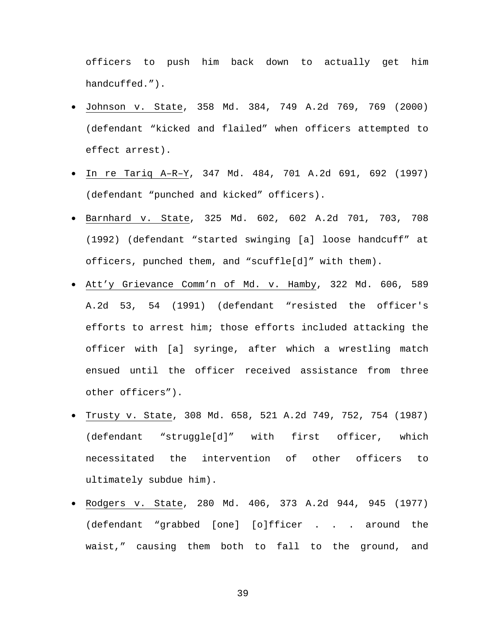officers to push him back down to actually get him handcuffed.").

- Johnson v. State, 358 Md. 384, 749 A.2d 769, 769 (2000) (defendant "kicked and flailed" when officers attempted to effect arrest).
- In re Tariq A–R–Y, 347 Md. 484, 701 A.2d 691, 692 (1997) (defendant "punched and kicked" officers).
- Barnhard v. State, 325 Md. 602, 602 A.2d 701, 703, 708 (1992) (defendant "started swinging [a] loose handcuff" at officers, punched them, and "scuffle[d]" with them).
- Att'y Grievance Comm'n of Md. v. Hamby, 322 Md. 606, 589 A.2d 53, 54 (1991) (defendant "resisted the officer's efforts to arrest him; those efforts included attacking the officer with [a] syringe, after which a wrestling match ensued until the officer received assistance from three other officers").
- Trusty v. State, 308 Md. 658, 521 A.2d 749, 752, 754 (1987) (defendant "struggle[d]" with first officer, which necessitated the intervention of other officers to ultimately subdue him).
- Rodgers v. State, 280 Md. 406, 373 A.2d 944, 945 (1977) (defendant "grabbed [one] [o]fficer . . . around the waist," causing them both to fall to the ground, and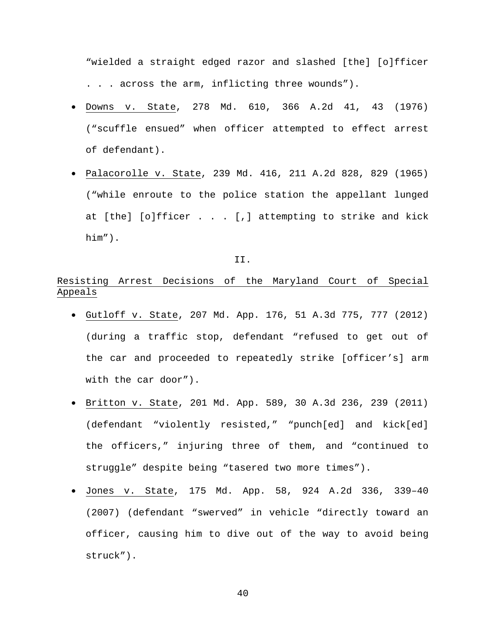"wielded a straight edged razor and slashed [the] [o]fficer . . . across the arm, inflicting three wounds").

- Downs v. State, 278 Md. 610, 366 A.2d 41, 43 (1976) ("scuffle ensued" when officer attempted to effect arrest of defendant).
- Palacorolle v. State, 239 Md. 416, 211 A.2d 828, 829 (1965) ("while enroute to the police station the appellant lunged at [the] [o]fficer . . . [,] attempting to strike and kick him").

II.

## Resisting Arrest Decisions of the Maryland Court of Special Appeals

- Gutloff v. State, 207 Md. App. 176, 51 A.3d 775, 777 (2012) (during a traffic stop, defendant "refused to get out of the car and proceeded to repeatedly strike [officer's] arm with the car door").
- Britton v. State, 201 Md. App. 589, 30 A.3d 236, 239 (2011) (defendant "violently resisted," "punch[ed] and kick[ed] the officers," injuring three of them, and "continued to struggle" despite being "tasered two more times").
- Jones v. State, 175 Md. App. 58, 924 A.2d 336, 339–40 (2007) (defendant "swerved" in vehicle "directly toward an officer, causing him to dive out of the way to avoid being struck").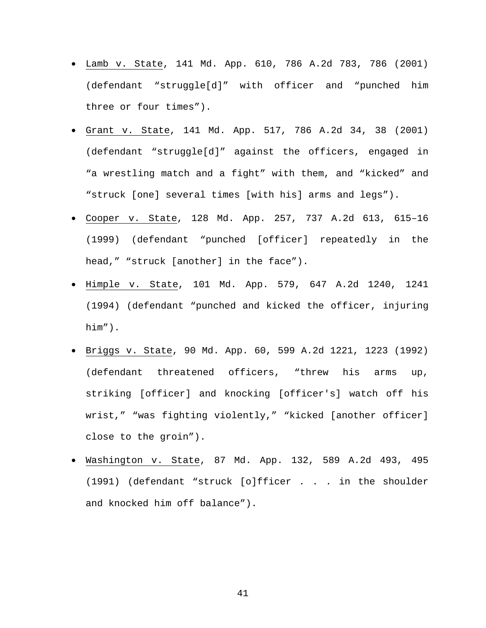- Lamb v. State, 141 Md. App. 610, 786 A.2d 783, 786 (2001) (defendant "struggle[d]" with officer and "punched him three or four times").
- Grant v. State, 141 Md. App. 517, 786 A.2d 34, 38 (2001) (defendant "struggle[d]" against the officers, engaged in "a wrestling match and a fight" with them, and "kicked" and "struck [one] several times [with his] arms and legs").
- Cooper v. State, 128 Md. App. 257, 737 A.2d 613, 615–16 (1999) (defendant "punched [officer] repeatedly in the head," "struck [another] in the face").
- Himple v. State, 101 Md. App. 579, 647 A.2d 1240, 1241 (1994) (defendant "punched and kicked the officer, injuring him").
- Briggs v. State, 90 Md. App. 60, 599 A.2d 1221, 1223 (1992) (defendant threatened officers, "threw his arms up, striking [officer] and knocking [officer's] watch off his wrist," "was fighting violently," "kicked [another officer] close to the groin").
- Washington v. State, 87 Md. App. 132, 589 A.2d 493, 495 (1991) (defendant "struck [o]fficer . . . in the shoulder and knocked him off balance").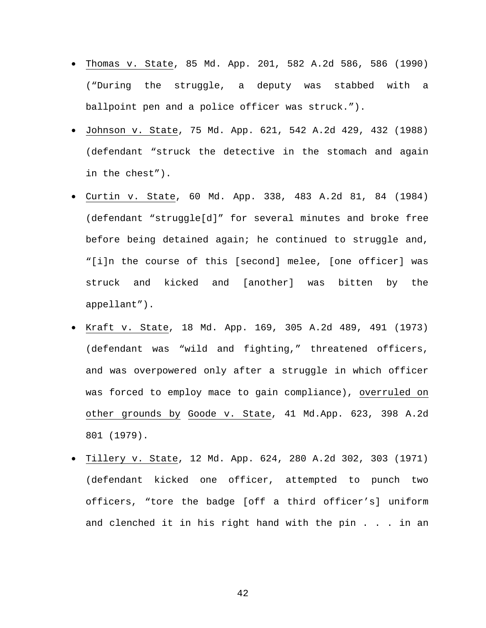- Thomas v. State, 85 Md. App. 201, 582 A.2d 586, 586 (1990) ("During the struggle, a deputy was stabbed with a ballpoint pen and a police officer was struck.").
- Johnson v. State, 75 Md. App. 621, 542 A.2d 429, 432 (1988) (defendant "struck the detective in the stomach and again in the chest").
- Curtin v. State, 60 Md. App. 338, 483 A.2d 81, 84 (1984) (defendant "struggle[d]" for several minutes and broke free before being detained again; he continued to struggle and, "[i]n the course of this [second] melee, [one officer] was struck and kicked and [another] was bitten by the appellant").
- Kraft v. State, 18 Md. App. 169, 305 A.2d 489, 491 (1973) (defendant was "wild and fighting," threatened officers, and was overpowered only after a struggle in which officer was forced to employ mace to gain compliance), overruled on other grounds by Goode v. State, 41 Md.App. 623, 398 A.2d 801 (1979).
- Tillery v. State, 12 Md. App. 624, 280 A.2d 302, 303 (1971) (defendant kicked one officer, attempted to punch two officers, "tore the badge [off a third officer's] uniform and clenched it in his right hand with the pin . . . in an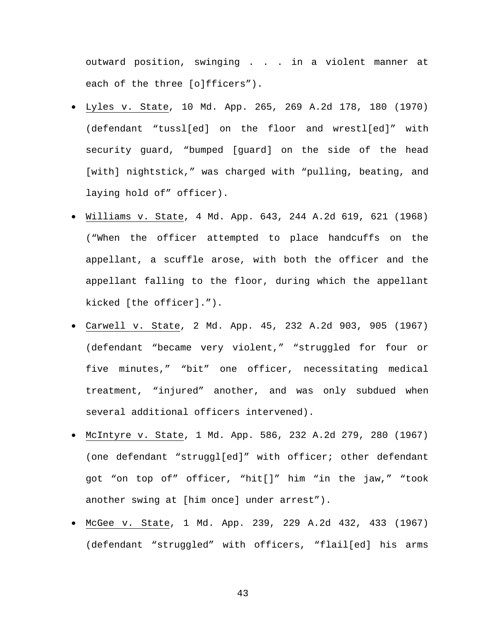outward position, swinging . . . in a violent manner at each of the three [o]fficers").

- Lyles v. State, 10 Md. App. 265, 269 A.2d 178, 180 (1970) (defendant "tussl[ed] on the floor and wrestl[ed]" with security guard, "bumped [guard] on the side of the head [with] nightstick," was charged with "pulling, beating, and laying hold of" officer).
- Williams v. State, 4 Md. App. 643, 244 A.2d 619, 621 (1968) ("When the officer attempted to place handcuffs on the appellant, a scuffle arose, with both the officer and the appellant falling to the floor, during which the appellant kicked [the officer].").
- Carwell v. State, 2 Md. App. 45, 232 A.2d 903, 905 (1967) (defendant "became very violent," "struggled for four or five minutes," "bit" one officer, necessitating medical treatment, "injured" another, and was only subdued when several additional officers intervened).
- McIntyre v. State, 1 Md. App. 586, 232 A.2d 279, 280 (1967) (one defendant "struggl[ed]" with officer; other defendant got "on top of" officer, "hit[]" him "in the jaw," "took another swing at [him once] under arrest").
- McGee v. State, 1 Md. App. 239, 229 A.2d 432, 433 (1967) (defendant "struggled" with officers, "flail[ed] his arms